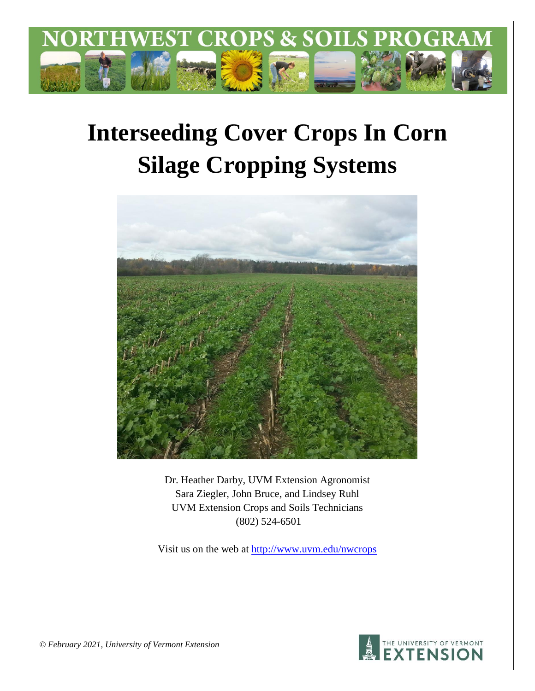

# **Interseeding Cover Crops In Corn Silage Cropping Systems**



Dr. Heather Darby, UVM Extension Agronomist Sara Ziegler, John Bruce, and Lindsey Ruhl UVM Extension Crops and Soils Technicians (802) 524-6501

Visit us on the web at <http://www.uvm.edu/nwcrops>



*© February 2021, University of Vermont Extension*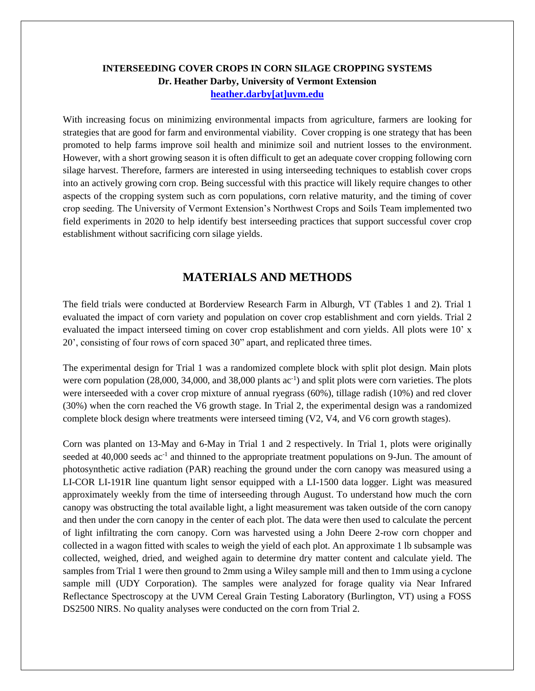# **INTERSEEDING COVER CROPS IN CORN SILAGE CROPPING SYSTEMS Dr. Heather Darby, University of Vermont Extension [heather.darby\[at\]uvm.edu](mailto:heather.darby@uvm.edu?subject=2013%20Long%20Season%20Corn%20Report)**

With increasing focus on minimizing environmental impacts from agriculture, farmers are looking for strategies that are good for farm and environmental viability. Cover cropping is one strategy that has been promoted to help farms improve soil health and minimize soil and nutrient losses to the environment. However, with a short growing season it is often difficult to get an adequate cover cropping following corn silage harvest. Therefore, farmers are interested in using interseeding techniques to establish cover crops into an actively growing corn crop. Being successful with this practice will likely require changes to other aspects of the cropping system such as corn populations, corn relative maturity, and the timing of cover crop seeding. The University of Vermont Extension's Northwest Crops and Soils Team implemented two field experiments in 2020 to help identify best interseeding practices that support successful cover crop establishment without sacrificing corn silage yields.

# **MATERIALS AND METHODS**

The field trials were conducted at Borderview Research Farm in Alburgh, VT (Tables 1 and 2). Trial 1 evaluated the impact of corn variety and population on cover crop establishment and corn yields. Trial 2 evaluated the impact interseed timing on cover crop establishment and corn yields. All plots were 10' x 20', consisting of four rows of corn spaced 30" apart, and replicated three times.

The experimental design for Trial 1 was a randomized complete block with split plot design. Main plots were corn population (28,000, 34,000, and 38,000 plants ac<sup>-1</sup>) and split plots were corn varieties. The plots were interseeded with a cover crop mixture of annual ryegrass (60%), tillage radish (10%) and red clover (30%) when the corn reached the V6 growth stage. In Trial 2, the experimental design was a randomized complete block design where treatments were interseed timing (V2, V4, and V6 corn growth stages).

Corn was planted on 13-May and 6-May in Trial 1 and 2 respectively. In Trial 1, plots were originally seeded at 40,000 seeds ac<sup>-1</sup> and thinned to the appropriate treatment populations on 9-Jun. The amount of photosynthetic active radiation (PAR) reaching the ground under the corn canopy was measured using a LI-COR LI-191R line quantum light sensor equipped with a LI-1500 data logger. Light was measured approximately weekly from the time of interseeding through August. To understand how much the corn canopy was obstructing the total available light, a light measurement was taken outside of the corn canopy and then under the corn canopy in the center of each plot. The data were then used to calculate the percent of light infiltrating the corn canopy. Corn was harvested using a John Deere 2-row corn chopper and collected in a wagon fitted with scales to weigh the yield of each plot. An approximate 1 lb subsample was collected, weighed, dried, and weighed again to determine dry matter content and calculate yield. The samples from Trial 1 were then ground to 2mm using a Wiley sample mill and then to 1mm using a cyclone sample mill (UDY Corporation). The samples were analyzed for forage quality via Near Infrared Reflectance Spectroscopy at the UVM Cereal Grain Testing Laboratory (Burlington, VT) using a FOSS DS2500 NIRS. No quality analyses were conducted on the corn from Trial 2.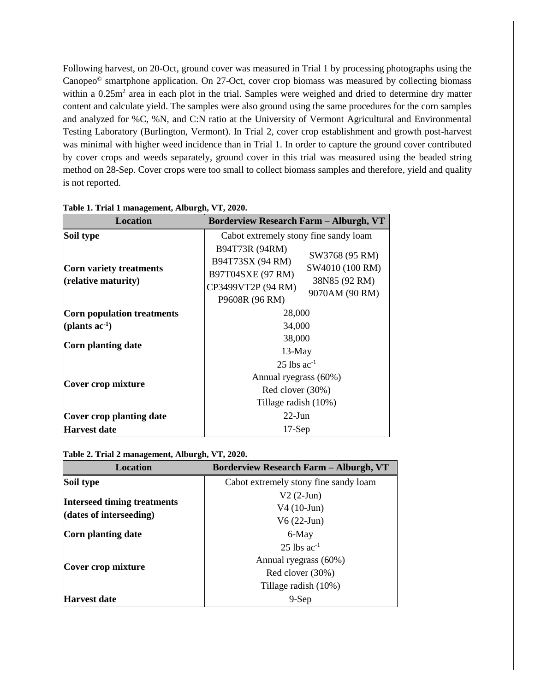Following harvest, on 20-Oct, ground cover was measured in Trial 1 by processing photographs using the Canopeo© smartphone application. On 27-Oct, cover crop biomass was measured by collecting biomass within a 0.25m<sup>2</sup> area in each plot in the trial. Samples were weighed and dried to determine dry matter content and calculate yield. The samples were also ground using the same procedures for the corn samples and analyzed for %C, %N, and C:N ratio at the University of Vermont Agricultural and Environmental Testing Laboratory (Burlington, Vermont). In Trial 2, cover crop establishment and growth post-harvest was minimal with higher weed incidence than in Trial 1. In order to capture the ground cover contributed by cover crops and weeds separately, ground cover in this trial was measured using the beaded string method on 28-Sep. Cover crops were too small to collect biomass samples and therefore, yield and quality is not reported.

| <b>Location</b>                                          | <b>Borderview Research Farm - Alburgh, VT</b>                                                   |                                                                      |  |  |
|----------------------------------------------------------|-------------------------------------------------------------------------------------------------|----------------------------------------------------------------------|--|--|
| Soil type                                                | Cabot extremely stony fine sandy loam                                                           |                                                                      |  |  |
| Corn variety treatments<br>$(\text{relative maturity})$  | B94T73R (94RM)<br>B94T73SX (94 RM)<br>B97T04SXE (97 RM)<br>CP3499VT2P (94 RM)<br>P9608R (96 RM) | SW3768 (95 RM)<br>SW4010 (100 RM)<br>38N85 (92 RM)<br>9070AM (90 RM) |  |  |
| <b>Corn population treatments</b><br>(plants $ac^{-1}$ ) | 28,000<br>34,000                                                                                |                                                                      |  |  |
| Corn planting date                                       | 38,000<br>$13-May$                                                                              |                                                                      |  |  |
| Cover crop mixture                                       | $25$ lbs ac <sup>-1</sup><br>Annual ryegrass (60%)<br>Red clover (30%)<br>Tillage radish (10%)  |                                                                      |  |  |
| Cover crop planting date                                 | $22$ -Jun                                                                                       |                                                                      |  |  |
| <b>Harvest date</b>                                      | $17-Sep$                                                                                        |                                                                      |  |  |

#### **Table 1. Trial 1 management, Alburgh, VT, 2020.**

**Table 2. Trial 2 management, Alburgh, VT, 2020.**

| <b>Location</b>                    | <b>Borderview Research Farm – Alburgh, VT</b> |
|------------------------------------|-----------------------------------------------|
| Soil type                          | Cabot extremely stony fine sandy loam         |
|                                    | $V2(2-Jun)$                                   |
| <b>Interseed timing treatments</b> | $V4(10-Jun)$                                  |
| (dates of interseeding)            | $V6(22-Jun)$                                  |
| Corn planting date                 | 6-May                                         |
|                                    | $25$ lbs ac <sup>-1</sup>                     |
|                                    | Annual ryegrass (60%)                         |
| Cover crop mixture                 | Red clover (30%)                              |
|                                    | Tillage radish (10%)                          |
| Harvest date                       | $9-Sep$                                       |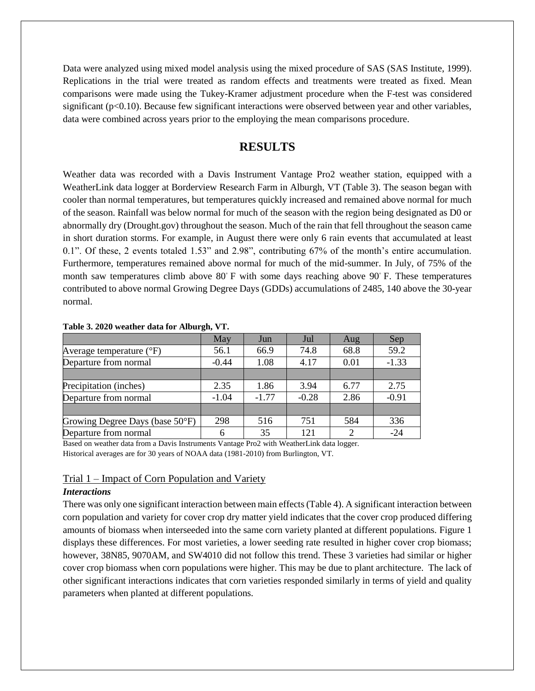Data were analyzed using mixed model analysis using the mixed procedure of SAS (SAS Institute, 1999). Replications in the trial were treated as random effects and treatments were treated as fixed. Mean comparisons were made using the Tukey-Kramer adjustment procedure when the F-test was considered significant ( $p<0.10$ ). Because few significant interactions were observed between year and other variables, data were combined across years prior to the employing the mean comparisons procedure.

# **RESULTS**

Weather data was recorded with a Davis Instrument Vantage Pro2 weather station, equipped with a WeatherLink data logger at Borderview Research Farm in Alburgh, VT (Table 3). The season began with cooler than normal temperatures, but temperatures quickly increased and remained above normal for much of the season. Rainfall was below normal for much of the season with the region being designated as D0 or abnormally dry (Drought.gov) throughout the season. Much of the rain that fell throughout the season came in short duration storms. For example, in August there were only 6 rain events that accumulated at least 0.1". Of these, 2 events totaled 1.53" and 2.98", contributing 67% of the month's entire accumulation. Furthermore, temperatures remained above normal for much of the mid-summer. In July, of 75% of the month saw temperatures climb above 80◦ F with some days reaching above 90◦ F. These temperatures contributed to above normal Growing Degree Days (GDDs) accumulations of 2485, 140 above the 30-year normal.

|                                   | May     | Jun     | Jul     | Aug                         | Sep     |
|-----------------------------------|---------|---------|---------|-----------------------------|---------|
| Average temperature $(^{\circ}F)$ | 56.1    | 66.9    | 74.8    | 68.8                        | 59.2    |
| Departure from normal             | $-0.44$ | 1.08    | 4.17    | 0.01                        | $-1.33$ |
|                                   |         |         |         |                             |         |
| Precipitation (inches)            | 2.35    | 1.86    | 3.94    | 6.77                        | 2.75    |
| Departure from normal             | $-1.04$ | $-1.77$ | $-0.28$ | 2.86                        | $-0.91$ |
|                                   |         |         |         |                             |         |
| Growing Degree Days (base 50°F)   | 298     | 516     | 751     | 584                         | 336     |
| Departure from normal             |         | 35      | 121     | $\mathcal{D}_{\mathcal{A}}$ | $-24$   |

#### **Table 3. 2020 weather data for Alburgh, VT.**

Based on weather data from a Davis Instruments Vantage Pro2 with WeatherLink data logger. Historical averages are for 30 years of NOAA data (1981-2010) from Burlington, VT.

## Trial 1 – Impact of Corn Population and Variety

#### *Interactions*

There was only one significant interaction between main effects (Table 4). A significant interaction between corn population and variety for cover crop dry matter yield indicates that the cover crop produced differing amounts of biomass when interseeded into the same corn variety planted at different populations. Figure 1 displays these differences. For most varieties, a lower seeding rate resulted in higher cover crop biomass; however, 38N85, 9070AM, and SW4010 did not follow this trend. These 3 varieties had similar or higher cover crop biomass when corn populations were higher. This may be due to plant architecture. The lack of other significant interactions indicates that corn varieties responded similarly in terms of yield and quality parameters when planted at different populations.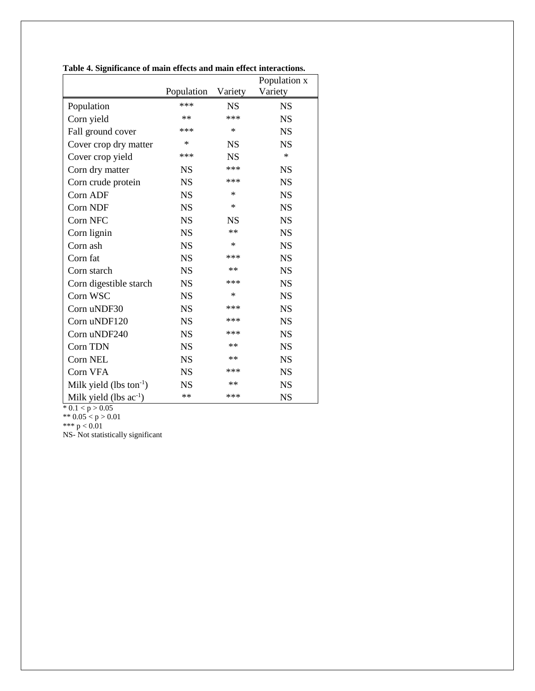|                               |            |            | Population x |
|-------------------------------|------------|------------|--------------|
|                               | Population | Variety    | Variety      |
| Population                    | ***        | <b>NS</b>  | <b>NS</b>    |
| Corn yield                    | **         | ***        | <b>NS</b>    |
| Fall ground cover             | ***        | $\ast$     | <b>NS</b>    |
| Cover crop dry matter         | $\ast$     | <b>NS</b>  | <b>NS</b>    |
| Cover crop yield              | ***        | <b>NS</b>  | $\ast$       |
| Corn dry matter               | <b>NS</b>  | ***        | <b>NS</b>    |
| Corn crude protein            | <b>NS</b>  | ***        | <b>NS</b>    |
| Corn ADF                      | <b>NS</b>  | $\ast$     | <b>NS</b>    |
| Corn NDF                      | <b>NS</b>  | $\ast$     | <b>NS</b>    |
| Corn NFC                      | <b>NS</b>  | <b>NS</b>  | <b>NS</b>    |
| Corn lignin                   | <b>NS</b>  | **         | <b>NS</b>    |
| Corn ash                      | <b>NS</b>  | $\ast$     | <b>NS</b>    |
| Corn fat                      | <b>NS</b>  | ***        | <b>NS</b>    |
| Corn starch                   | <b>NS</b>  | $\ast\ast$ | <b>NS</b>    |
| Corn digestible starch        | <b>NS</b>  | ***        | <b>NS</b>    |
| Corn WSC                      | <b>NS</b>  | $\ast$     | <b>NS</b>    |
| Corn uNDF30                   | <b>NS</b>  | ***        | <b>NS</b>    |
| Corn uNDF120                  | <b>NS</b>  | ***        | <b>NS</b>    |
| Corn uNDF240                  | <b>NS</b>  | ***        | <b>NS</b>    |
| Corn TDN                      | <b>NS</b>  | $**$       | <b>NS</b>    |
| Corn NEL                      | <b>NS</b>  | $**$       | <b>NS</b>    |
| Corn VFA                      | <b>NS</b>  | ***        | <b>NS</b>    |
| Milk yield (lbs ton $^{-1}$ ) | <b>NS</b>  | $\ast\ast$ | <b>NS</b>    |
| Milk yield (lbs $ac^{-1}$ )   | **         | ***        | <b>NS</b>    |

**Table 4. Significance of main effects and main effect interactions.**

 $* 0.1 < p > 0.05$ 

\*\*  $0.05 < p > 0.01$ 

\*\*\*  $p < 0.01$ 

NS- Not statistically significant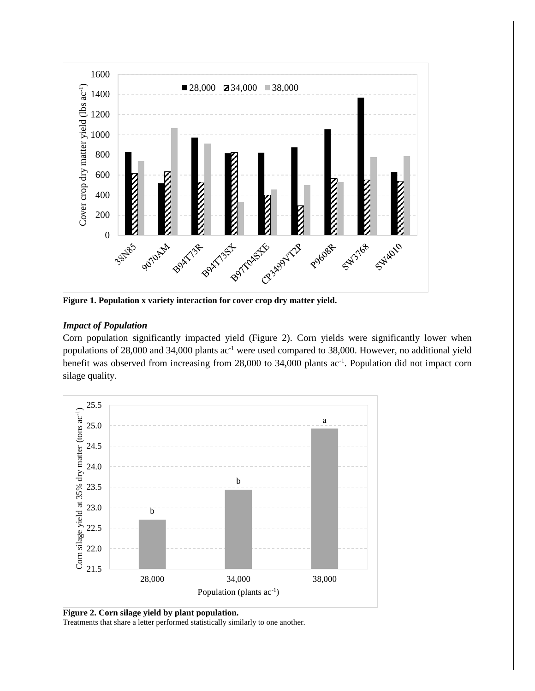

**Figure 1. Population x variety interaction for cover crop dry matter yield.**

## *Impact of Population*

Corn population significantly impacted yield (Figure 2). Corn yields were significantly lower when populations of 28,000 and 34,000 plants ac<sup>-1</sup> were used compared to 38,000. However, no additional yield benefit was observed from increasing from 28,000 to 34,000 plants ac<sup>-1</sup>. Population did not impact corn silage quality.



**Figure 2. Corn silage yield by plant population.**

Treatments that share a letter performed statistically similarly to one another.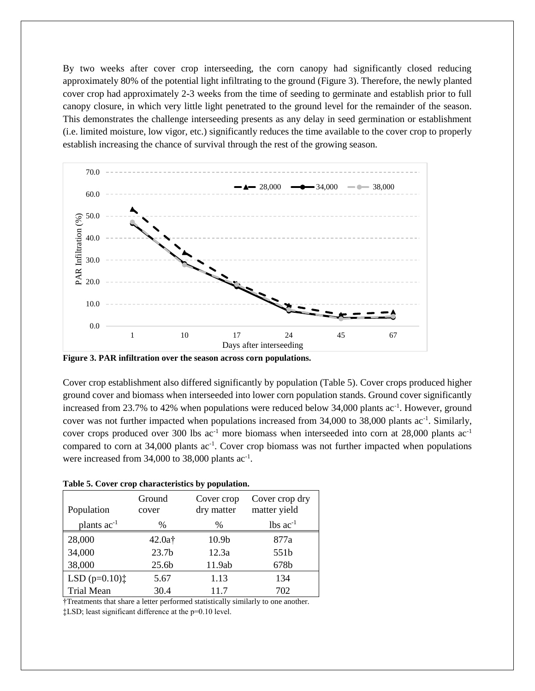By two weeks after cover crop interseeding, the corn canopy had significantly closed reducing approximately 80% of the potential light infiltrating to the ground (Figure 3). Therefore, the newly planted cover crop had approximately 2-3 weeks from the time of seeding to germinate and establish prior to full canopy closure, in which very little light penetrated to the ground level for the remainder of the season. This demonstrates the challenge interseeding presents as any delay in seed germination or establishment (i.e. limited moisture, low vigor, etc.) significantly reduces the time available to the cover crop to properly establish increasing the chance of survival through the rest of the growing season.



**Figure 3. PAR infiltration over the season across corn populations.**

Cover crop establishment also differed significantly by population (Table 5). Cover crops produced higher ground cover and biomass when interseeded into lower corn population stands. Ground cover significantly increased from 23.7% to 42% when populations were reduced below 34,000 plants ac<sup>-1</sup>. However, ground cover was not further impacted when populations increased from 34,000 to 38,000 plants ac<sup>-1</sup>. Similarly, cover crops produced over 300 lbs  $ac^{-1}$  more biomass when interseeded into corn at 28,000 plants  $ac^{-1}$ compared to corn at 34,000 plants ac<sup>-1</sup>. Cover crop biomass was not further impacted when populations were increased from  $34,000$  to  $38,000$  plants ac<sup>-1</sup>.

|  | Table 5. Cover crop characteristics by population. |  |
|--|----------------------------------------------------|--|
|  |                                                    |  |

| Population                                     | Ground<br>cover    | Cover crop<br>dry matter | Cover crop dry<br>matter yield |
|------------------------------------------------|--------------------|--------------------------|--------------------------------|
| plants $ac^{-1}$                               | $\%$               | %                        | $lbs$ ac <sup>-1</sup>         |
| 28,000                                         | 42.0a <sup>†</sup> | 10.9b                    | 877a                           |
| 34,000                                         | 23.7 <sub>b</sub>  | 12.3a                    | 551b                           |
| 38,000                                         | 25.6 <sub>b</sub>  | 11.9ab                   | 678b                           |
| LSD $(p=0.10)$ <sup><math>\dagger</math></sup> | 5.67               | 1.13                     | 134                            |
| <b>Trial Mean</b>                              | 30.4               | 11.7                     | 702                            |

†Treatments that share a letter performed statistically similarly to one another.

‡LSD; least significant difference at the p=0.10 level.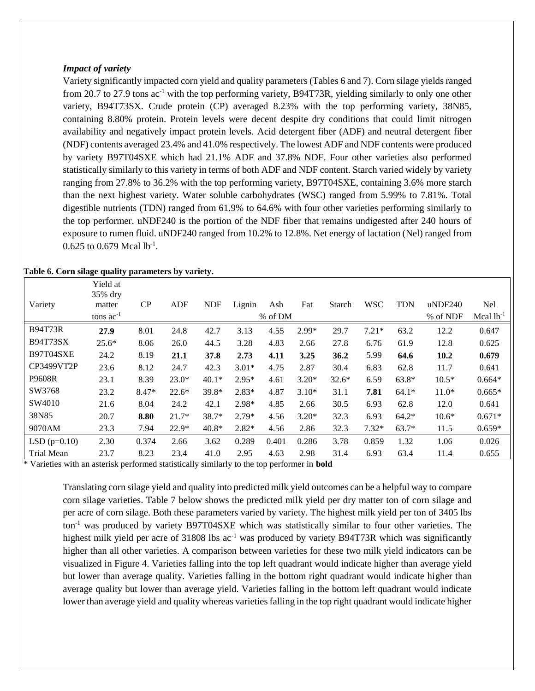#### *Impact of variety*

Variety significantly impacted corn yield and quality parameters (Tables 6 and 7). Corn silage yields ranged from 20.7 to 27.9 tons  $ac^{-1}$  with the top performing variety, B94T73R, yielding similarly to only one other variety, B94T73SX. Crude protein (CP) averaged 8.23% with the top performing variety, 38N85, containing 8.80% protein. Protein levels were decent despite dry conditions that could limit nitrogen availability and negatively impact protein levels. Acid detergent fiber (ADF) and neutral detergent fiber (NDF) contents averaged 23.4% and 41.0% respectively. The lowest ADF and NDF contents were produced by variety B97T04SXE which had 21.1% ADF and 37.8% NDF. Four other varieties also performed statistically similarly to this variety in terms of both ADF and NDF content. Starch varied widely by variety ranging from 27.8% to 36.2% with the top performing variety, B97T04SXE, containing 3.6% more starch than the next highest variety. Water soluble carbohydrates (WSC) ranged from 5.99% to 7.81%. Total digestible nutrients (TDN) ranged from 61.9% to 64.6% with four other varieties performing similarly to the top performer. uNDF240 is the portion of the NDF fiber that remains undigested after 240 hours of exposure to rumen fluid. uNDF240 ranged from 10.2% to 12.8%. Net energy of lactation (Nel) ranged from  $0.625$  to  $0.679$  Mcal lb<sup>-1</sup>.

|  |  |  |  | Table 6. Corn silage quality parameters by variety. |  |  |
|--|--|--|--|-----------------------------------------------------|--|--|
|--|--|--|--|-----------------------------------------------------|--|--|

|                   | Yield at<br>35% dry |         |            |            |         |         |         |         |            |            |            |                |
|-------------------|---------------------|---------|------------|------------|---------|---------|---------|---------|------------|------------|------------|----------------|
| Variety           | matter              | CP      | <b>ADF</b> | <b>NDF</b> | Lignin  | Ash     | Fat     | Starch  | <b>WSC</b> | <b>TDN</b> | $u$ NDF240 | Nel            |
|                   | tons $ac^{-1}$      |         |            |            |         | % of DM |         |         |            |            | % of NDF   | Mcal $lb^{-1}$ |
| <b>B94T73R</b>    | 27.9                | 8.01    | 24.8       | 42.7       | 3.13    | 4.55    | 2.99*   | 29.7    | $7.21*$    | 63.2       | 12.2       | 0.647          |
| <b>B94T73SX</b>   | $25.6*$             | 8.06    | 26.0       | 44.5       | 3.28    | 4.83    | 2.66    | 27.8    | 6.76       | 61.9       | 12.8       | 0.625          |
| B97T04SXE         | 24.2                | 8.19    | 21.1       | 37.8       | 2.73    | 4.11    | 3.25    | 36.2    | 5.99       | 64.6       | 10.2       | 0.679          |
| CP3499VT2P        | 23.6                | 8.12    | 24.7       | 42.3       | $3.01*$ | 4.75    | 2.87    | 30.4    | 6.83       | 62.8       | 11.7       | 0.641          |
| P9608R            | 23.1                | 8.39    | $23.0*$    | $40.1*$    | $2.95*$ | 4.61    | $3.20*$ | $32.6*$ | 6.59       | $63.8*$    | $10.5*$    | $0.664*$       |
| SW3768            | 23.2                | $8.47*$ | $22.6*$    | 39.8*      | $2.83*$ | 4.87    | $3.10*$ | 31.1    | 7.81       | $64.1*$    | $11.0*$    | $0.665*$       |
| SW4010            | 21.6                | 8.04    | 24.2       | 42.1       | $2.98*$ | 4.85    | 2.66    | 30.5    | 6.93       | 62.8       | 12.0       | 0.641          |
| 38N85             | 20.7                | 8.80    | $21.7*$    | 38.7*      | $2.79*$ | 4.56    | $3.20*$ | 32.3    | 6.93       | $64.2*$    | $10.6*$    | $0.671*$       |
| 9070AM            | 23.3                | 7.94    | $22.9*$    | $40.8*$    | $2.82*$ | 4.56    | 2.86    | 32.3    | $7.32*$    | $63.7*$    | 11.5       | $0.659*$       |
| $LSD(p=0.10)$     | 2.30                | 0.374   | 2.66       | 3.62       | 0.289   | 0.401   | 0.286   | 3.78    | 0.859      | 1.32       | 1.06       | 0.026          |
| <b>Trial Mean</b> | 23.7                | 8.23    | 23.4       | 41.0       | 2.95    | 4.63    | 2.98    | 31.4    | 6.93       | 63.4       | 11.4       | 0.655          |

\* Varieties with an asterisk performed statistically similarly to the top performer in **bold**

Translating corn silage yield and quality into predicted milk yield outcomes can be a helpful way to compare corn silage varieties. Table 7 below shows the predicted milk yield per dry matter ton of corn silage and per acre of corn silage. Both these parameters varied by variety. The highest milk yield per ton of 3405 lbs ton-1 was produced by variety B97T04SXE which was statistically similar to four other varieties. The highest milk yield per acre of 31808 lbs ac<sup>-1</sup> was produced by variety B94T73R which was significantly higher than all other varieties. A comparison between varieties for these two milk yield indicators can be visualized in Figure 4. Varieties falling into the top left quadrant would indicate higher than average yield but lower than average quality. Varieties falling in the bottom right quadrant would indicate higher than average quality but lower than average yield. Varieties falling in the bottom left quadrant would indicate lower than average yield and quality whereas varieties falling in the top right quadrant would indicate higher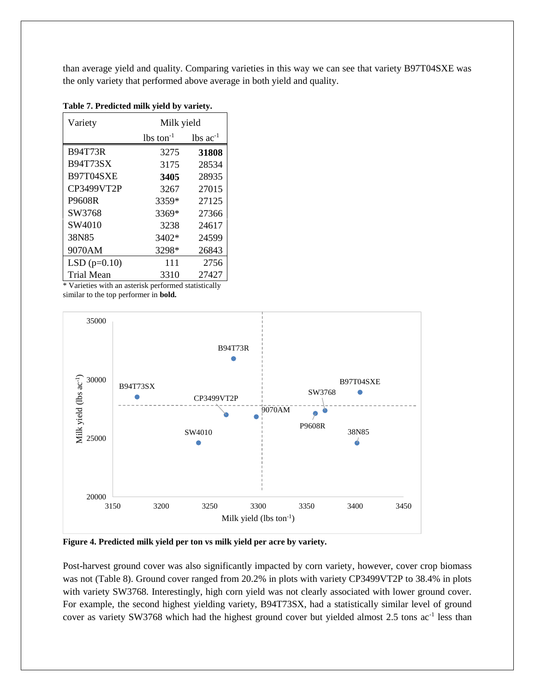than average yield and quality. Comparing varieties in this way we can see that variety B97T04SXE was the only variety that performed above average in both yield and quality.

| Variety           | Milk yield              |                        |  |  |  |
|-------------------|-------------------------|------------------------|--|--|--|
|                   | $lbs$ ton <sup>-1</sup> | $lbs$ ac <sup>-1</sup> |  |  |  |
| <b>B94T73R</b>    | 3275                    | 31808                  |  |  |  |
| <b>B94T73SX</b>   | 3175                    | 28534                  |  |  |  |
| B97T04SXE         | 3405                    | 28935                  |  |  |  |
| CP3499VT2P        | 3267                    | 27015                  |  |  |  |
| P9608R            | 3359*                   | 27125                  |  |  |  |
| SW3768            | 3369*                   | 27366                  |  |  |  |
| SW4010            | 3238                    | 24617                  |  |  |  |
| 38N85             | 3402*                   | 24599                  |  |  |  |
| 9070AM            | 3298*                   | 26843                  |  |  |  |
| $LSD(p=0.10)$     | 111                     | 2756                   |  |  |  |
| <b>Trial Mean</b> | 3310                    | 27427                  |  |  |  |

**Table 7. Predicted milk yield by variety.**

Varieties with an asterisk performed statistically similar to the top performer in **bold.**



**Figure 4. Predicted milk yield per ton vs milk yield per acre by variety.**

Post-harvest ground cover was also significantly impacted by corn variety, however, cover crop biomass was not (Table 8). Ground cover ranged from 20.2% in plots with variety CP3499VT2P to 38.4% in plots with variety SW3768. Interestingly, high corn yield was not clearly associated with lower ground cover. For example, the second highest yielding variety, B94T73SX, had a statistically similar level of ground cover as variety SW3768 which had the highest ground cover but yielded almost 2.5 tons ac<sup>-1</sup> less than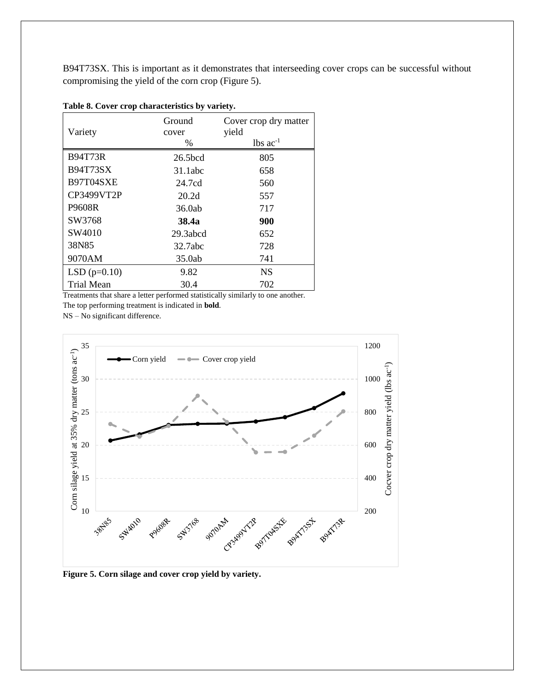B94T73SX. This is important as it demonstrates that interseeding cover crops can be successful without compromising the yield of the corn crop (Figure 5).

| Variety           | Ground<br>cover<br>$\%$ | Cover crop dry matter<br>yield<br>$lbs$ ac <sup>-1</sup> |
|-------------------|-------------------------|----------------------------------------------------------|
| <b>B94T73R</b>    | 26.5 <sub>bcd</sub>     | 805                                                      |
| <b>B94T73SX</b>   | 31.1abc                 | 658                                                      |
| B97T04SXE         | 24.7cd                  | 560                                                      |
| CP3499VT2P        | 20.2d                   | 557                                                      |
| P9608R            | 36.0ab                  | 717                                                      |
| SW3768            | <b>38.4a</b>            | 900                                                      |
| SW4010            | 29.3abcd                | 652                                                      |
| 38N85             | 32.7abc                 | 728                                                      |
| 9070AM            | 35.0ab                  | 741                                                      |
| $LSD(p=0.10)$     | 9.82                    | <b>NS</b>                                                |
| <b>Trial Mean</b> | 30.4                    | 702                                                      |

|  |  |  |  | Table 8. Cover crop characteristics by variety. |  |  |
|--|--|--|--|-------------------------------------------------|--|--|
|--|--|--|--|-------------------------------------------------|--|--|

Treatments that share a letter performed statistically similarly to one another.

The top performing treatment is indicated in **bold**.

NS – No significant difference.



**Figure 5. Corn silage and cover crop yield by variety.**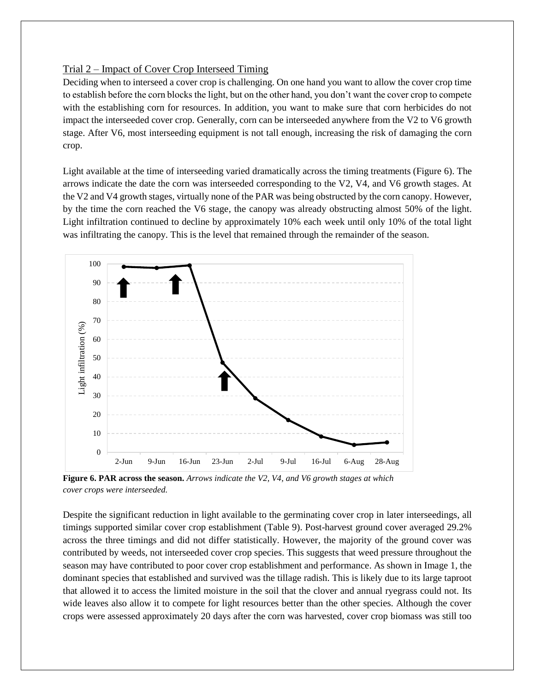### Trial 2 – Impact of Cover Crop Interseed Timing

Deciding when to interseed a cover crop is challenging. On one hand you want to allow the cover crop time to establish before the corn blocks the light, but on the other hand, you don't want the cover crop to compete with the establishing corn for resources. In addition, you want to make sure that corn herbicides do not impact the interseeded cover crop. Generally, corn can be interseeded anywhere from the V2 to V6 growth stage. After V6, most interseeding equipment is not tall enough, increasing the risk of damaging the corn crop.

Light available at the time of interseeding varied dramatically across the timing treatments (Figure 6). The arrows indicate the date the corn was interseeded corresponding to the V2, V4, and V6 growth stages. At the V2 and V4 growth stages, virtually none of the PAR was being obstructed by the corn canopy. However, by the time the corn reached the V6 stage, the canopy was already obstructing almost 50% of the light. Light infiltration continued to decline by approximately 10% each week until only 10% of the total light was infiltrating the canopy. This is the level that remained through the remainder of the season.



**Figure 6. PAR across the season.** *Arrows indicate the V2, V4, and V6 growth stages at which cover crops were interseeded.*

Despite the significant reduction in light available to the germinating cover crop in later interseedings, all timings supported similar cover crop establishment (Table 9). Post-harvest ground cover averaged 29.2% across the three timings and did not differ statistically. However, the majority of the ground cover was contributed by weeds, not interseeded cover crop species. This suggests that weed pressure throughout the season may have contributed to poor cover crop establishment and performance. As shown in Image 1, the dominant species that established and survived was the tillage radish. This is likely due to its large taproot that allowed it to access the limited moisture in the soil that the clover and annual ryegrass could not. Its wide leaves also allow it to compete for light resources better than the other species. Although the cover crops were assessed approximately 20 days after the corn was harvested, cover crop biomass was still too